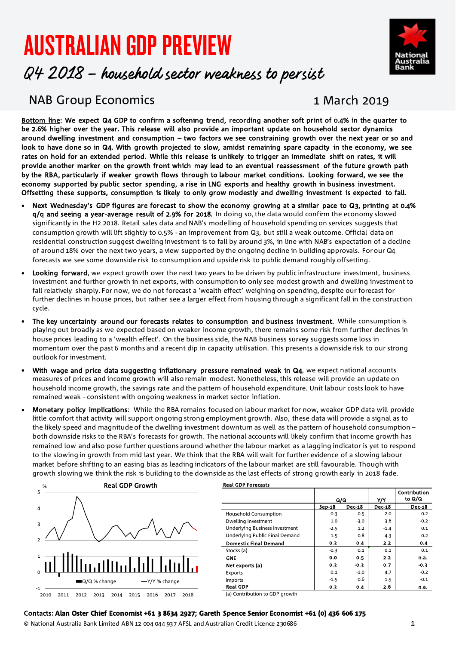# AUSTRALIAN GDP PREVIEW



# Q4 2018 – household sector weakness to persist

# NAB Group Economics 1 March 2019

Bottom line: We expect Q4 GDP to confirm a softening trend, recording another soft print of 0.4% in the quarter to be 2.6% higher over the year. This release will also provide an important update on household sector dynamics around dwelling investment and consumption – two factors we see constraining growth over the next year or so and look to have done so in Q4. With growth projected to slow, amidst remaining spare capacity in the economy, we see rates on hold for an extended period. While this release is unlikely to trigger an immediate shift on rates, it will provide another marker on the growth front which may lead to an eventual reassessment of the future growth path by the RBA, particularly if weaker growth flows through to labour market conditions. Looking forward, we see the economy supported by public sector spending, a rise in LNG exports and healthy growth in business investment. Offsetting these supports, consumption is likely to only grow modestly and dwelling investment is expected to fall.

- Next Wednesday's GDP figures are forecast to show the economy growing at a similar pace to Q3, printing at 0.4% q/q and seeing a year-average result of 2.9% for 2018. In doing so, the data would confirm the economy slowed significantly in the H2 2018. Retail sales data and NAB's modelling of household spending on services suggests that consumption growth will lift slightly to 0.5% - an improvement from Q3, but still a weak outcome. Official data on residential construction suggest dwelling investment is to fall by around 3%, in line with NAB's expectation of a decline of around 18% over the next two years, a view supported by the ongoing decline in building approvals. For our Q4 forecasts we see some downside risk to consumption and upside risk to public demand roughly offsetting.
- Looking forward, we expect growth over the next two years to be driven by public infrastructure investment, business investment and further growth in net exports, with consumption to only see modest growth and dwelling investment to fall relatively sharply. For now, we do not forecast a 'wealth effect' weighing on spending, despite our forecast for further declines in house prices, but rather see a larger effect from housing through a significant fall in the construction cycle.
- The key uncertainty around our forecasts relates to consumption and business investment. While consumption is playing out broadly as we expected based on weaker income growth, there remains some risk from further declines in house prices leading to a 'wealth effect'. On the business side, the NAB business survey suggests some loss in momentum over the past 6 months and a recent dip in capacity utilisation. This presents a downside risk to our strong outlook for investment.
- With wage and price data suggesting inflationary pressure remained weak in Q4, we expect national accounts measures of prices and income growth will also remain modest. Nonetheless, this release will provide an update on household income growth, the savings rate and the pattern of household expenditure. Unit labour costs look to have remained weak - consistent with ongoing weakness in market sector inflation.
- Monetary policy implications: While the RBA remains focused on labour market for now, weaker GDP data will provide little comfort that activity will support ongoing strong employment growth. Also, these data will provide a signal as to the likely speed and magnitude of the dwelling investment downturn as well as the pattern of household consumption – both downside risks to the RBA's forecasts for growth. The national accounts will likely confirm that income growth has remained low and also pose further questions around whether the labour market as a lagging indicator is yet to respond to the slowing in growth from mid last year. We think that the RBA will wait for further evidence of a slowing labour market before shifting to an easing bias as leading indicators of the labour market are still favourable. Though with growth slowing we think the risk is building to the downside as the last effects of strong growth early in 2018 fade.



|                                       | Q/Q           |               | Y/Y           | <b>Contribution</b><br>to Q/Q |
|---------------------------------------|---------------|---------------|---------------|-------------------------------|
|                                       | <b>Sep-18</b> | <b>Dec-18</b> | <b>Dec-18</b> | <b>Dec-18</b>                 |
| <b>Household Consumption</b>          | 0.3           | 0.5           | 2.0           | 0.2                           |
| Dwelling Investment                   | 1.0           | $-3.0$        | 3.6           | $-0.2$                        |
| <b>Underlying Business Investment</b> | $-2.5$        | 1.2           | $-1.4$        | 0.1                           |
| Underlying Public Final Demand        | 1.5           | 0.8           | 4.3           | 0.2                           |
| <b>Domestic Final Demand</b>          | 0.3           | 0.4           | 2.2           | 0.4                           |
| Stocks (a)                            | $-0.3$        | 0.1           | 0.1           | 0.1                           |
| <b>GNE</b>                            | 0.0           | 0.5           | 2.2           | n.a.                          |
| Net exports (a)                       | 0.3           | $-0.3$        | 0.7           | $-0.3$                        |
| Exports                               | 0.1           | $-1.0$        | 4.7           | $-0.2$                        |
| Imports                               | $-1.5$        | 0.6           | 1.5           | $-0.1$                        |
| <b>Real GDP</b>                       | 0.3           | 0.4           | 2.6           | n.a.                          |

(a) Contribution to GDP growth

#### Contacts: **Alan Oster Chief Economist +61 3 8634 2927; Gareth Spence Senior Economist +61 (0) 436 606 175**

© National Australia Bank Limited ABN 12 004 044 937 AFSL and Australian Credit Licence 230686 1